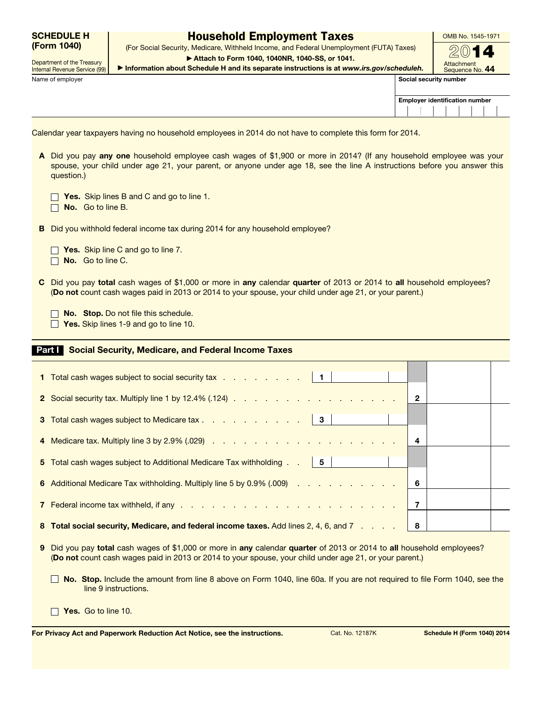|             | <b>SCHEDULE H</b> |
|-------------|-------------------|
| (Form 1040) |                   |

Department of the Treasury Internal Revenue Service (99)

## Household Employment Taxes

(Form 1040) (For Social Security, Medicare, Withheld Income, and Federal Unemployment (FUTA) Taxes)  $2014$ ▶ Attach to Form 1040, 1040NR, 1040-SS, or 1041.

OMB No. 1545-1971

Name of employer Social security number of the security number of the security number of the Social security number of the Social security number of the Social security number of the Social security number of the Social se

 $\Box$ 

▶ Information about Schedule H and its separate instructions is at *www.irs.gov/scheduleh.*

| Attachment      |
|-----------------|
| Sequence No. 44 |
| ecurity number  |

| <b>Employer identification number</b> |  |  |  |  |  |  |  |  |
|---------------------------------------|--|--|--|--|--|--|--|--|
|                                       |  |  |  |  |  |  |  |  |

Calendar year taxpayers having no household employees in 2014 do not have to complete this form for 2014.

A Did you pay any one household employee cash wages of \$1,900 or more in 2014? (If any household employee was your spouse, your child under age 21, your parent, or anyone under age 18, see the line A instructions before you answer this question.)

| Yes. Skip lines B and C and go to line 1. |  |  |  |  |  |
|-------------------------------------------|--|--|--|--|--|
|                                           |  |  |  |  |  |

 $\Box$  No. Go to line B.

B Did you withhold federal income tax during 2014 for any household employee?

 $\Box$  Yes. Skip line C and go to line 7.

 $\Box$  No. Go to line C.

C Did you pay total cash wages of \$1,000 or more in any calendar quarter of 2013 or 2014 to all household employees? (Do not count cash wages paid in 2013 or 2014 to your spouse, your child under age 21, or your parent.)

No. Stop. Do not file this schedule.

 $\Box$  Yes. Skip lines 1-9 and go to line 10.

## Part I Social Security, Medicare, and Federal Income Taxes

| 1 Total cash wages subject to social security tax   1                                 |   |  |
|---------------------------------------------------------------------------------------|---|--|
|                                                                                       | 2 |  |
| 3 Total cash wages subject to Medicare tax 3                                          |   |  |
|                                                                                       | 4 |  |
| 5 Total cash wages subject to Additional Medicare Tax withholding   5                 |   |  |
| 6 Additional Medicare Tax withholding. Multiply line 5 by 0.9% (.009)                 | 6 |  |
|                                                                                       | 7 |  |
| 8 Total social security, Medicare, and federal income taxes. Add lines 2, 4, 6, and 7 | 8 |  |

- 9 Did you pay total cash wages of \$1,000 or more in any calendar quarter of 2013 or 2014 to all household employees? (Do not count cash wages paid in 2013 or 2014 to your spouse, your child under age 21, or your parent.)
	- No. Stop. Include the amount from line 8 above on Form 1040, line 60a. If you are not required to file Form 1040, see the line 9 instructions.

 $\Box$  Yes. Go to line 10.

For Privacy Act and Paperwork Reduction Act Notice, see the instructions. Cat. No. 12187K Schedule H (Form 1040) 2014